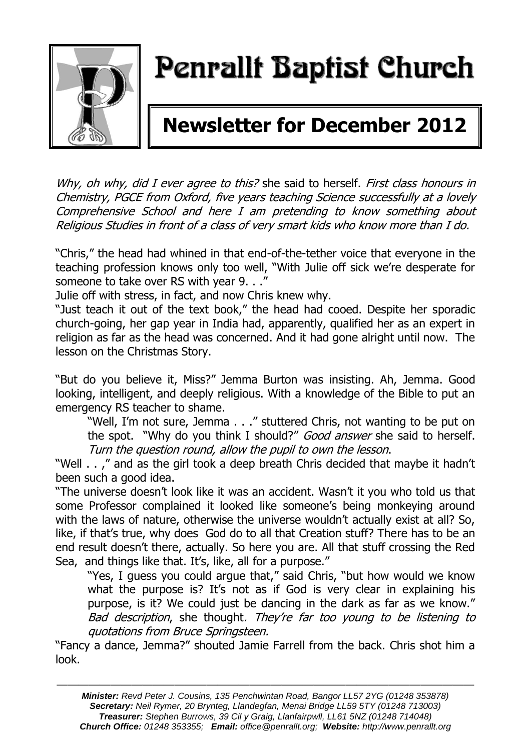

# Penrallt Baptist Church

# **Newsletter for December 2012**

Why, oh why, did I ever agree to this? she said to herself. First class honours in Chemistry, PGCE from Oxford, five years teaching Science successfully at a lovely Comprehensive School and here I am pretending to know something about Religious Studies in front of a class of very smart kids who know more than I do.

"Chris," the head had whined in that end-of-the-tether voice that everyone in the teaching profession knows only too well, "With Julie off sick we're desperate for someone to take over RS with year 9. . ."

Julie off with stress, in fact, and now Chris knew why.

"Just teach it out of the text book," the head had cooed. Despite her sporadic church-going, her gap year in India had, apparently, qualified her as an expert in religion as far as the head was concerned. And it had gone alright until now. The lesson on the Christmas Story.

"But do you believe it, Miss?" Jemma Burton was insisting. Ah, Jemma. Good looking, intelligent, and deeply religious. With a knowledge of the Bible to put an emergency RS teacher to shame.

"Well, I'm not sure, Jemma . . ." stuttered Chris, not wanting to be put on the spot. "Why do you think I should?" Good answer she said to herself. Turn the question round, allow the pupil to own the lesson.

"Well . . ," and as the girl took a deep breath Chris decided that maybe it hadn't been such a good idea.

"The universe doesn't look like it was an accident. Wasn't it you who told us that some Professor complained it looked like someone's being monkeying around with the laws of nature, otherwise the universe wouldn't actually exist at all? So, like, if that's true, why does God do to all that Creation stuff? There has to be an end result doesn't there, actually. So here you are. All that stuff crossing the Red Sea, and things like that. It's, like, all for a purpose."

"Yes, I guess you could argue that," said Chris, "but how would we know what the purpose is? It's not as if God is very clear in explaining his purpose, is it? We could just be dancing in the dark as far as we know." Bad description, she thought. They're far too young to be listening to quotations from Bruce Springsteen.

"Fancy a dance, Jemma?" shouted Jamie Farrell from the back. Chris shot him a look.

———————————————————————————————————————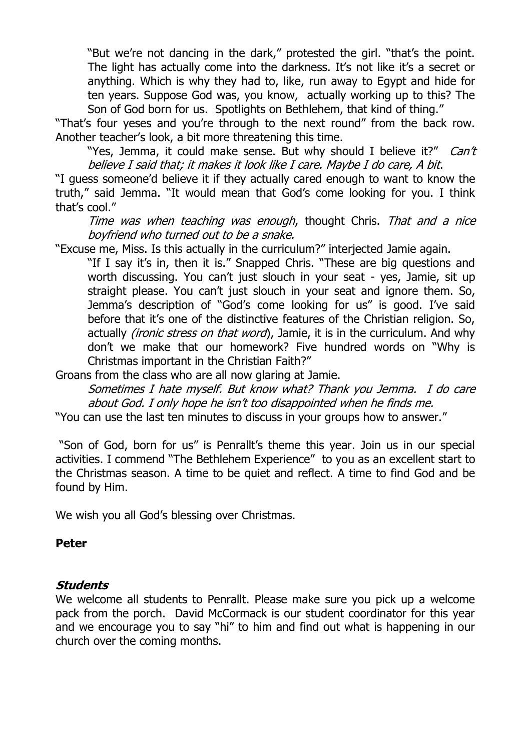"But we're not dancing in the dark," protested the girl. "that's the point. The light has actually come into the darkness. It's not like it's a secret or anything. Which is why they had to, like, run away to Egypt and hide for ten years. Suppose God was, you know, actually working up to this? The Son of God born for us. Spotlights on Bethlehem, that kind of thing."

"That's four yeses and you're through to the next round" from the back row. Another teacher's look, a bit more threatening this time.

"Yes, Jemma, it could make sense. But why should I believe it?" Can't believe I said that; it makes it look like I care. Maybe I do care, A bit.

"I guess someone'd believe it if they actually cared enough to want to know the truth," said Jemma. "It would mean that God's come looking for you. I think that's cool."

Time was when teaching was enough, thought Chris. That and a nice boyfriend who turned out to be a snake.

"Excuse me, Miss. Is this actually in the curriculum?" interjected Jamie again.

"If I say it's in, then it is." Snapped Chris. "These are big questions and worth discussing. You can't just slouch in your seat - yes, Jamie, sit up straight please. You can't just slouch in your seat and ignore them. So, Jemma's description of "God's come looking for us" is good. I've said before that it's one of the distinctive features of the Christian religion. So, actually *(ironic stress on that word*), Jamie, it is in the curriculum. And why don't we make that our homework? Five hundred words on "Why is Christmas important in the Christian Faith?"

Groans from the class who are all now glaring at Jamie.

Sometimes I hate myself. But know what? Thank you Jemma. I do care about God. I only hope he isn't too disappointed when he finds me.

"You can use the last ten minutes to discuss in your groups how to answer."

"Son of God, born for us" is Penrallt's theme this year. Join us in our special activities. I commend "The Bethlehem Experience" to you as an excellent start to the Christmas season. A time to be quiet and reflect. A time to find God and be found by Him.

We wish you all God's blessing over Christmas.

### **Peter**

### **Students**

We welcome all students to Penrallt. Please make sure you pick up a welcome pack from the porch. David McCormack is our student coordinator for this year and we encourage you to say "hi" to him and find out what is happening in our church over the coming months.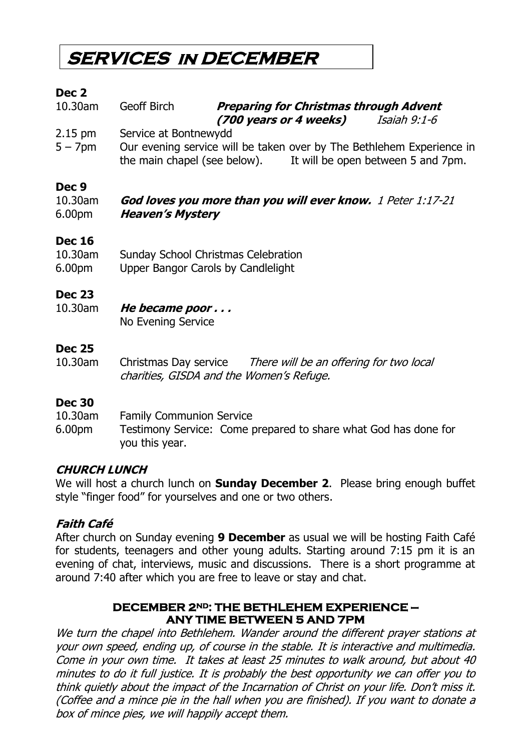# **SERVICES in DECEMBER**

### **Dec 2**

| 10.30am | Geoff Birch | <b>Preparing for Christmas through Advent</b> |              |
|---------|-------------|-----------------------------------------------|--------------|
|         |             | (700 years or 4 weeks)                        | Isaiah 9:1-6 |

2.15 pm Service at Bontnewydd

5 – 7pm Our evening service will be taken over by The Bethlehem Experience in the main chapel (see below). It will be open between 5 and 7pm.

### **Dec 9**

10.30am **God loves you more than you will ever know.** 1 Peter 1:17-21 6.00pm **Heaven's Mystery**

### **Dec 16**

| 10.30am            | Sunday School Christmas Celebration |
|--------------------|-------------------------------------|
| 6.00 <sub>pm</sub> | Upper Bangor Carols by Candlelight  |

### **Dec 23**

10.30am **He became poor . . .** No Evening Service

### **Dec 25**

10.30am Christmas Day service There will be an offering for two local charities, GISDA and the Women's Refuge.

### **Dec 30**

10.30am Family Communion Service

6.00pm Testimony Service: Come prepared to share what God has done for you this year.

### **CHURCH LUNCH**

We will host a church lunch on **Sunday December 2**. Please bring enough buffet style "finger food" for yourselves and one or two others.

### **Faith Café**

After church on Sunday evening **9 December** as usual we will be hosting Faith Café for students, teenagers and other young adults. Starting around 7:15 pm it is an evening of chat, interviews, music and discussions. There is a short programme at around 7:40 after which you are free to leave or stay and chat.

### **DECEMBER 2ND: THE BETHLEHEM EXPERIENCE — ANY TIME BETWEEN 5 AND 7PM**

We turn the chapel into Bethlehem. Wander around the different prayer stations at your own speed, ending up, of course in the stable. It is interactive and multimedia. Come in your own time. It takes at least 25 minutes to walk around, but about 40 minutes to do it full justice. It is probably the best opportunity we can offer you to think quietly about the impact of the Incarnation of Christ on your life. Don't miss it. (Coffee and a mince pie in the hall when you are finished). If you want to donate a box of mince pies, we will happily accept them.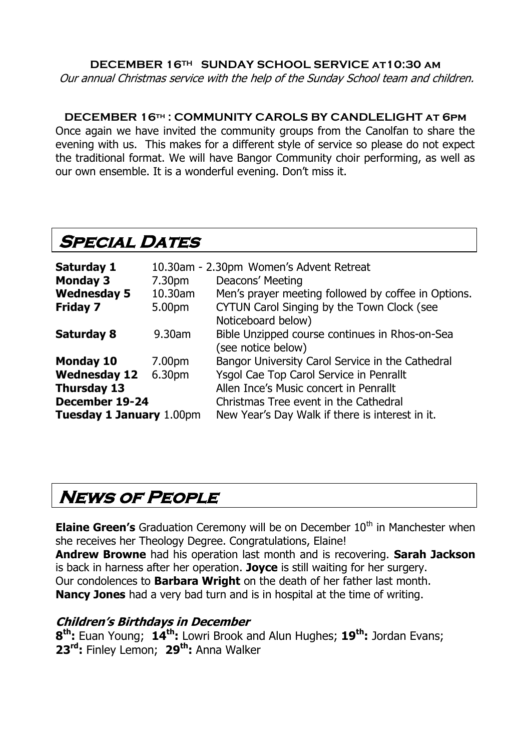### **DECEMBER 16TH SUNDAY SCHOOL SERVICE at10:30 am**

Our annual Christmas service with the help of the Sunday School team and children.

### **DECEMBER 16th : COMMUNITY CAROLS BY CANDLELIGHT at 6pm**

Once again we have invited the community groups from the Canolfan to share the evening with us. This makes for a different style of service so please do not expect the traditional format. We will have Bangor Community choir performing, as well as our own ensemble. It is a wonderful evening. Don't miss it.

## **SPECIAL DATES**

| <b>Saturday 1</b><br><b>Monday 3</b> | 7.30pm  | 10.30am - 2.30pm Women's Advent Retreat<br>Deacons' Meeting          |
|--------------------------------------|---------|----------------------------------------------------------------------|
| <b>Wednesday 5</b>                   | 10.30am | Men's prayer meeting followed by coffee in Options.                  |
| <b>Friday 7</b>                      | 5.00pm  | CYTUN Carol Singing by the Town Clock (see<br>Noticeboard below)     |
| <b>Saturday 8</b>                    | 9.30am  | Bible Unzipped course continues in Rhos-on-Sea<br>(see notice below) |
| <b>Monday 10</b>                     | 7.00pm  | Bangor University Carol Service in the Cathedral                     |
| <b>Wednesday 12</b>                  | 6.30pm  | Ysgol Cae Top Carol Service in Penrallt                              |
| <b>Thursday 13</b>                   |         | Allen Ince's Music concert in Penrallt                               |
| December 19-24                       |         | Christmas Tree event in the Cathedral                                |
| <b>Tuesday 1 January 1.00pm</b>      |         | New Year's Day Walk if there is interest in it.                      |

# **News of People**

**Elaine Green's** Graduation Ceremony will be on December 10<sup>th</sup> in Manchester when she receives her Theology Degree. Congratulations, Elaine!

**Andrew Browne** had his operation last month and is recovering. **Sarah Jackson** is back in harness after her operation. **Joyce** is still waiting for her surgery. Our condolences to **Barbara Wright** on the death of her father last month. **Nancy Jones** had a very bad turn and is in hospital at the time of writing.

### **Children's Birthdays in December**

**8 th:** Euan Young; **14th:** Lowri Brook and Alun Hughes; **19th:** Jordan Evans; **23rd:** Finley Lemon; **29th:** Anna Walker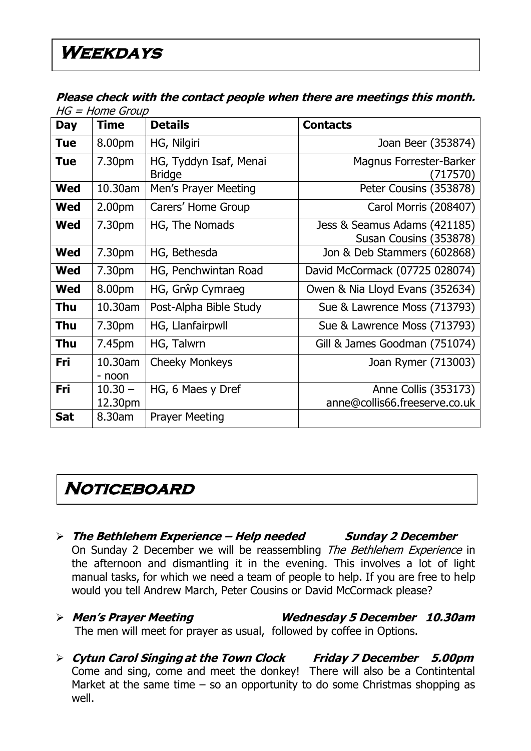### **Please check with the contact people when there are meetings this month.**   $HG = Home GrouD$

|            | שטיוט – ווטוויר – טו ו<br><b>Time</b> | <b>Details</b>                          |                                                        |
|------------|---------------------------------------|-----------------------------------------|--------------------------------------------------------|
| <b>Day</b> |                                       |                                         | <b>Contacts</b>                                        |
| <b>Tue</b> | 8.00pm                                | HG, Nilgiri                             | Joan Beer (353874)                                     |
| Tue        | 7.30pm                                | HG, Tyddyn Isaf, Menai<br><b>Bridge</b> | Magnus Forrester-Barker<br>(717570)                    |
| <b>Wed</b> | 10.30am                               | Men's Prayer Meeting                    | Peter Cousins (353878)                                 |
| Wed        | 2.00 <sub>pm</sub>                    | Carers' Home Group                      | Carol Morris (208407)                                  |
| <b>Wed</b> | 7.30pm                                | HG, The Nomads                          | Jess & Seamus Adams (421185)<br>Susan Cousins (353878) |
| <b>Wed</b> | 7.30 <sub>pm</sub>                    | HG, Bethesda                            | Jon & Deb Stammers (602868)                            |
| <b>Wed</b> | 7.30pm                                | HG, Penchwintan Road                    | David McCormack (07725 028074)                         |
| <b>Wed</b> | 8.00pm                                | HG, Grŵp Cymraeg                        | Owen & Nia Lloyd Evans (352634)                        |
| Thu        | 10.30am                               | Post-Alpha Bible Study                  | Sue & Lawrence Moss (713793)                           |
| <b>Thu</b> | 7.30 <sub>pm</sub>                    | HG, Llanfairpwll                        | Sue & Lawrence Moss (713793)                           |
| Thu        | 7.45pm                                | HG, Talwrn                              | Gill & James Goodman (751074)                          |
| Fri        | 10.30am<br>- noon                     | <b>Cheeky Monkeys</b>                   | Joan Rymer (713003)                                    |
| Fri        | $10.30 -$<br>12.30pm                  | HG, 6 Maes y Dref                       | Anne Collis (353173)<br>anne@collis66.freeserve.co.uk  |
| <b>Sat</b> | 8.30am                                | <b>Prayer Meeting</b>                   |                                                        |

# **Noticeboard**

- **The Bethlehem Experience – Help needed Sunday 2 December** On Sunday 2 December we will be reassembling The Bethlehem Experience in the afternoon and dismantling it in the evening. This involves a lot of light manual tasks, for which we need a team of people to help. If you are free to help would you tell Andrew March, Peter Cousins or David McCormack please?
- **Men's Prayer Meeting Wednesday 5 December 10.30am** The men will meet for prayer as usual, followed by coffee in Options.
- **Cytun Carol Singing at the Town Clock Friday 7 December 5.00pm** Come and sing, come and meet the donkey! There will also be a Contintental Market at the same time  $-$  so an opportunity to do some Christmas shopping as well.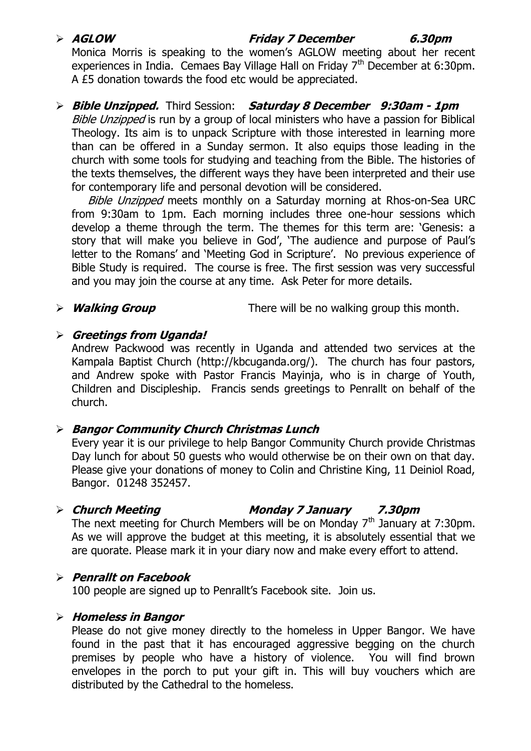### **AGLOW Friday 7 December 6.30pm**

Monica Morris is speaking to the women's AGLOW meeting about her recent experiences in India. Cemaes Bay Village Hall on Friday 7<sup>th</sup> December at 6:30pm. A £5 donation towards the food etc would be appreciated.

### **Bible Unzipped.** Third Session: **Saturday 8 December 9:30am - 1pm**

Bible Unzipped is run by a group of local ministers who have a passion for Biblical Theology. Its aim is to unpack Scripture with those interested in learning more than can be offered in a Sunday sermon. It also equips those leading in the church with some tools for studying and teaching from the Bible. The histories of the texts themselves, the different ways they have been interpreted and their use for contemporary life and personal devotion will be considered.

Bible Unzipped meets monthly on a Saturday morning at Rhos-on-Sea URC from 9:30am to 1pm. Each morning includes three one-hour sessions which develop a theme through the term. The themes for this term are: 'Genesis: a story that will make you believe in God', 'The audience and purpose of Paul's letter to the Romans' and 'Meeting God in Scripture'. No previous experience of Bible Study is required. The course is free. The first session was very successful and you may join the course at any time. Ask Peter for more details.

**Walking Group** There will be no walking group this month.

### **Greetings from Uganda!**

Andrew Packwood was recently in Uganda and attended two services at the Kampala Baptist Church [\(http://kbcuganda.org/\)](http://kbcuganda.org/). The church has four pastors, and Andrew spoke with Pastor Francis Mayinja, who is in charge of Youth, Children and Discipleship. Francis sends greetings to Penrallt on behalf of the church.

### **Bangor Community Church Christmas Lunch**

Every year it is our privilege to help Bangor Community Church provide Christmas Day lunch for about 50 guests who would otherwise be on their own on that day. Please give your donations of money to Colin and Christine King, 11 Deiniol Road, Bangor. 01248 352457.

### **Church Meeting Monday 7 January 7.30pm**

The next meeting for Church Members will be on Monday  $7<sup>th</sup>$  January at 7:30pm. As we will approve the budget at this meeting, it is absolutely essential that we are quorate. Please mark it in your diary now and make every effort to attend.

### **Penrallt on Facebook**

100 people are signed up to Penrallt's Facebook site. Join us.

### **Homeless in Bangor**

Please do not give money directly to the homeless in Upper Bangor. We have found in the past that it has encouraged aggressive begging on the church premises by people who have a history of violence. You will find brown envelopes in the porch to put your gift in. This will buy vouchers which are distributed by the Cathedral to the homeless.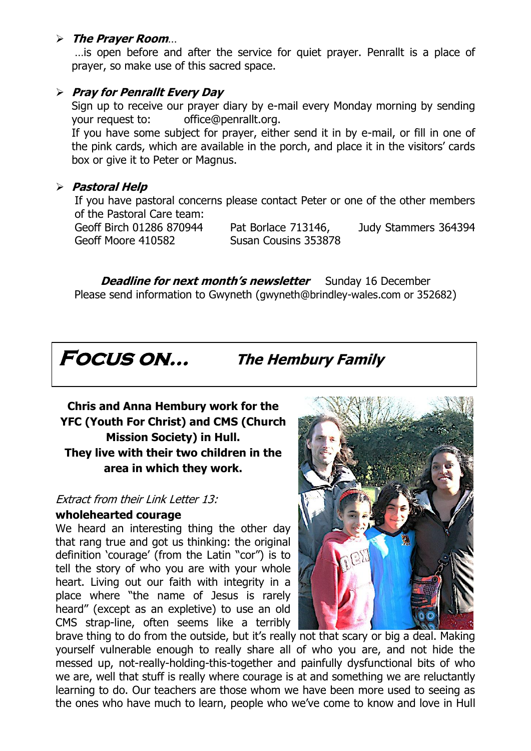### **The Prayer Room**…

…is open before and after the service for quiet prayer. Penrallt is a place of prayer, so make use of this sacred space.

### **Pray for Penrallt Every Day**

Sign up to receive our prayer diary by e-mail every Monday morning by sending your request to: [office@penrallt.org.](mailto:office@penrallt.org)

If you have some subject for prayer, either send it in by e-mail, or fill in one of the pink cards, which are available in the porch, and place it in the visitors' cards box or give it to Peter or Magnus.

### **Pastoral Help**

If you have pastoral concerns please contact Peter or one of the other members of the Pastoral Care team:

Geoff Birch 01286 870944 Pat Borlace 713146, Judy Stammers 364394 Geoff Moore 410582 Susan Cousins 353878

**Deadline for next month's newsletter** Sunday 16 December Please send information to Gwyneth ([gwyneth@brindley-wales.com](mailto:gwyneth@brindley-wales.com) or 352682)



**Focus on… The Hembury Family**

**Chris and Anna Hembury work for the YFC (Youth For Christ) and CMS (Church Mission Society) in Hull. They live with their two children in the area in which they work.**

### Extract from their Link Letter 13:

### **wholehearted courage**

We heard an interesting thing the other day that rang true and got us thinking: the original definition 'courage' (from the Latin "cor") is to tell the story of who you are with your whole heart. Living out our faith with integrity in a place where "the name of Jesus is rarely heard" (except as an expletive) to use an old CMS strap-line, often seems like a terribly



brave thing to do from the outside, but it's really not that scary or big a deal. Making yourself vulnerable enough to really share all of who you are, and not hide the messed up, not-really-holding-this-together and painfully dysfunctional bits of who we are, well that stuff is really where courage is at and something we are reluctantly learning to do. Our teachers are those whom we have been more used to seeing as the ones who have much to learn, people who we've come to know and love in Hull